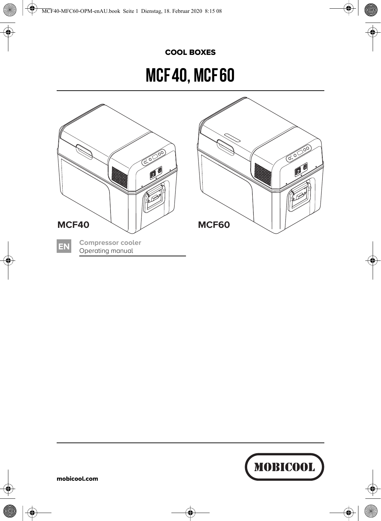#### COOL BOXES

# MCF 40, MCF 60



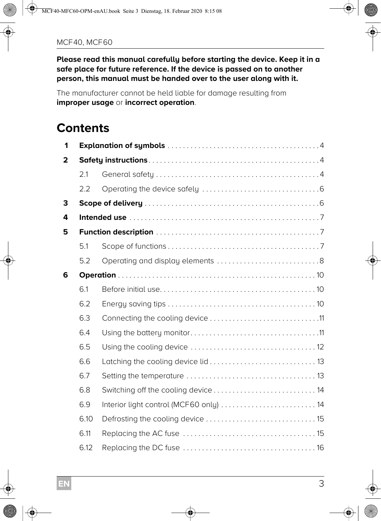**Please read this manual carefully before starting the device. Keep it in a safe place for future reference. If the device is passed on to another person, this manual must be handed over to the user along with it.**

The manufacturer cannot be held liable for damage resulting from **improper usage** or **incorrect operation**.

## **Contents**

| 1 |      |                                         |  |
|---|------|-----------------------------------------|--|
| 2 |      |                                         |  |
|   | 2.1  |                                         |  |
|   | 2.2  |                                         |  |
| 3 |      |                                         |  |
| 4 |      |                                         |  |
| 5 |      |                                         |  |
|   | 5.1  |                                         |  |
|   | 5.2  |                                         |  |
| 6 |      |                                         |  |
|   | 6.1  |                                         |  |
|   | 6.2  |                                         |  |
|   | 6.3  |                                         |  |
|   | 6.4  |                                         |  |
|   | 6.5  |                                         |  |
|   | 6.6  |                                         |  |
|   | 6.7  |                                         |  |
|   | 6.8  | Switching off the cooling device  14    |  |
|   | 6.9  | Interior light control (MCF60 only)  14 |  |
|   | 6.10 |                                         |  |
|   | 6.11 |                                         |  |
|   | 6.12 |                                         |  |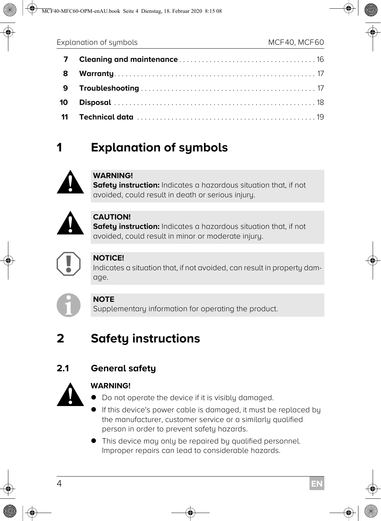| - 8 |  |
|-----|--|
| -9  |  |
|     |  |
|     |  |

# **1 Explanation of symbols**



#### **WARNING!**

**Safety instruction:** Indicates a hazardous situation that, if not avoided, could result in death or serious injury.



#### **CAUTION!**

**Safety instruction:** Indicates a hazardous situation that, if not avoided, could result in minor or moderate injury.



#### **NOTICE!**

Indicates a situation that, if not avoided, can result in property damage.



#### **NOTE**

Supplementary information for operating the product.

# **2 Safety instructions**

## **2.1 General safety**



- Do not operate the device if it is visibly damaged.
- If this device's power cable is damaged, it must be replaced by the manufacturer, customer service or a similarly qualified person in order to prevent safety hazards.
- This device may only be repaired by qualified personnel. Improper repairs can lead to considerable hazards.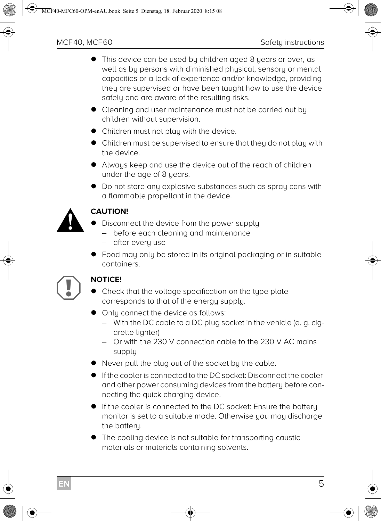- This device can be used by children aged 8 years or over, as well as by persons with diminished physical, sensory or mental capacities or a lack of experience and/or knowledge, providing they are supervised or have been taught how to use the device safely and are aware of the resulting risks.
- Cleaning and user maintenance must not be carried out by children without supervision.
- Children must not play with the device.
- Children must be supervised to ensure that they do not play with the device.
- Always keep and use the device out of the reach of children under the age of 8 years.
- Do not store any explosive substances such as spray cans with a flammable propellant in the device.



- **•** Disconnect the device from the power supply
	- before each cleaning and maintenance
	- after every use
- Food may only be stored in its original packaging or in suitable containers.



- Check that the voltage specification on the type plate corresponds to that of the energy supply.
- $\bullet$  Only connect the device as follows:
	- With the DC cable to a DC plug socket in the vehicle (e. g. cigarette lighter)
	- Or with the 230 V connection cable to the 230 V AC mains supply
- Never pull the plug out of the socket by the cable.
- If the cooler is connected to the DC socket: Disconnect the cooler and other power consuming devices from the battery before connecting the quick charging device.
- If the cooler is connected to the DC socket: Ensure the battery monitor is set to a suitable mode. Otherwise you may discharge the battery.
- The cooling device is not suitable for transporting caustic materials or materials containing solvents.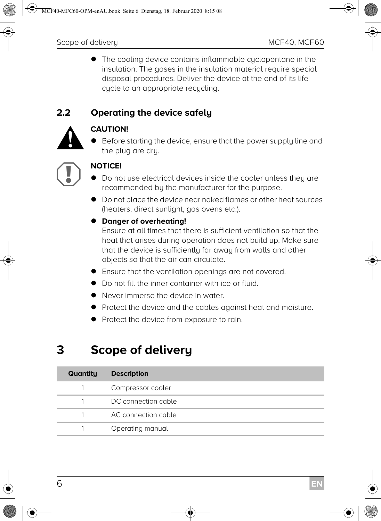The cooling device contains inflammable cyclopentane in the insulation. The gases in the insulation material require special disposal procedures. Deliver the device at the end of its lifecycle to an appropriate recycling.

#### **2.2 Operating the device safely**



**CAUTION!**<br>• Before s<br>the plug Before starting the device, ensure that the power supply line and the plug are dry.



- Do not use electrical devices inside the cooler unless they are recommended by the manufacturer for the purpose.
- Do not place the device near naked flames or other heat sources (heaters, direct sunlight, gas ovens etc.).

#### **Danger of overheating!**

Ensure at all times that there is sufficient ventilation so that the heat that arises during operation does not build up. Make sure that the device is sufficiently far away from walls and other objects so that the air can circulate.

- Ensure that the ventilation openings are not covered.
- Do not fill the inner container with ice or fluid.
- Never immerse the device in water
- Protect the device and the cables against heat and moisture.
- **•** Protect the device from exposure to rain.

# **3 Scope of delivery**

| Quantity | <b>Description</b>  |
|----------|---------------------|
|          | Compressor cooler   |
|          | DC connection cable |
|          | AC connection cable |
|          | Operating manual    |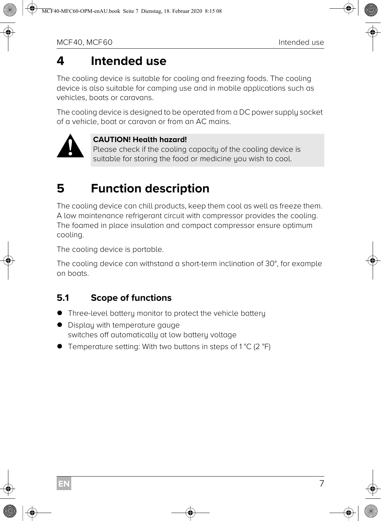# **4 Intended use**

The cooling device is suitable for cooling and freezing foods. The cooling device is also suitable for camping use and in mobile applications such as vehicles, boats or caravans.

The cooling device is designed to be operated from a DC power supply socket of a vehicle, boat or caravan or from an AC mains.



#### **CAUTION! Health hazard!**

Please check if the cooling capacity of the cooling device is suitable for storing the food or medicine you wish to cool.

# **5 Function description**

The cooling device can chill products, keep them cool as well as freeze them. A low maintenance refrigerant circuit with compressor provides the cooling. The foamed in place insulation and compact compressor ensure optimum cooling.

The cooling device is portable.

The cooling device can withstand a short-term inclination of 30°, for example on boats.

#### **5.1 Scope of functions**

- Three-level battery monitor to protect the vehicle battery
- Display with temperature gauge switches off automatically at low battery voltage
- Temperature setting: With two buttons in steps of 1 °C (2 °F)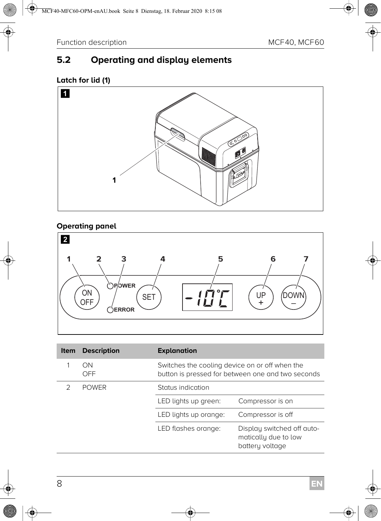## **5.2 Operating and display elements**

#### **Latch for lid (1)**



#### **Operating panel**



| <b>Item</b> | <b>Description</b> | <b>Explanation</b>                                                                                  |                                                                       |
|-------------|--------------------|-----------------------------------------------------------------------------------------------------|-----------------------------------------------------------------------|
|             | ON<br>OFF          | Switches the cooling device on or off when the<br>button is pressed for between one and two seconds |                                                                       |
|             | <b>POWER</b>       | Status indication                                                                                   |                                                                       |
|             |                    | LED lights up green:                                                                                | Compressor is on                                                      |
|             |                    | LED lights up orange:                                                                               | Compressor is off                                                     |
|             |                    | LED flashes orange:                                                                                 | Display switched off auto-<br>matically due to low<br>battery voltage |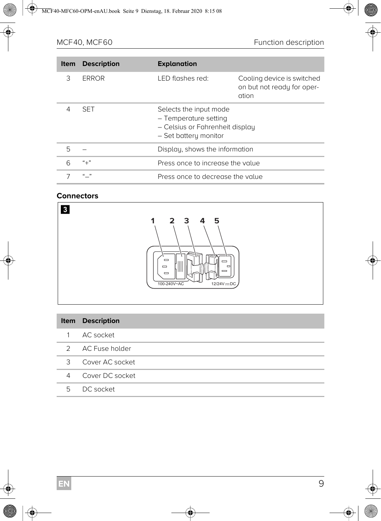| <b>Item</b> | <b>Description</b> | <b>Explanation</b>                                                                                          |                                                                   |  |
|-------------|--------------------|-------------------------------------------------------------------------------------------------------------|-------------------------------------------------------------------|--|
| 3           | <b>ERROR</b>       | LED flashes red:                                                                                            | Cooling device is switched<br>on but not ready for oper-<br>ation |  |
| 4           | <b>SFT</b>         | Selects the input mode<br>- Temperature setting<br>- Celsius or Fahrenheit display<br>- Set battery monitor |                                                                   |  |
| 5           |                    | Display, shows the information                                                                              |                                                                   |  |
| 6           | $"+'"$             | Press once to increase the value                                                                            |                                                                   |  |
|             | $^{\prime}$        | Press once to decrease the value                                                                            |                                                                   |  |

#### **Connectors**



|   | <b>Item</b> Description |
|---|-------------------------|
|   | AC socket               |
|   | 2 AC Fuse holder        |
| 3 | Cover AC socket         |
| 4 | Cover DC socket         |
| 5 | DC socket               |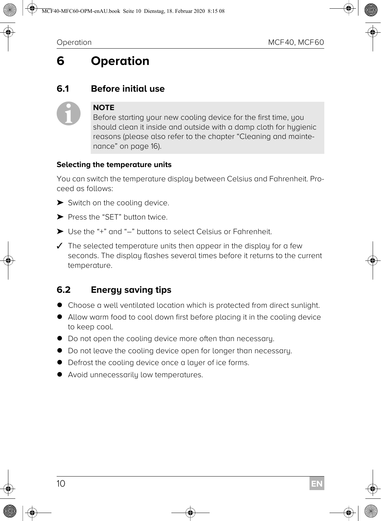# **6 Operation**

#### **6.1 Before initial use**

# $\mathbf 0$

#### **NOTE**

Before starting your new cooling device for the first time, you should clean it inside and outside with a damp cloth for hugienic reasons (please also refer to the chapter "Cleaning and maintenance" on page 16).

#### **Selecting the temperature units**

You can switch the temperature display between Celsius and Fahrenheit. Proceed as follows:

- ▶ Switch on the cooling device.
- ➤ Press the "SET" button twice.
- ➤ Use the "+" and "–" buttons to select Celsius or Fahrenheit.
- $\checkmark$  The selected temperature units then appear in the display for a few seconds. The display flashes several times before it returns to the current temperature.

#### **6.2 Energy saving tips**

- Choose a well ventilated location which is protected from direct sunlight.
- Allow warm food to cool down first before placing it in the cooling device to keep cool.
- $\bullet$  Do not open the cooling device more often than necessary.
- Do not leave the cooling device open for longer than necessary.
- Defrost the cooling device once a layer of ice forms.
- Avoid unnecessarily low temperatures.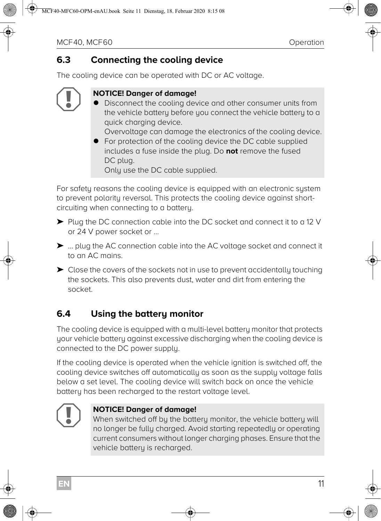#### **6.3 Connecting the cooling device**

The cooling device can be operated with DC or AC voltage.

# $\bigodot$

#### **NOTICE! Danger of damage!**

 Disconnect the cooling device and other consumer units from the vehicle battery before you connect the vehicle battery to a quick charging device.

Overvoltage can damage the electronics of the cooling device.

● For protection of the cooling device the DC cable supplied includes a fuse inside the plug. Do **not** remove the fused DC plug.

Only use the DC cable supplied.

For safety reasons the cooling device is equipped with an electronic system to prevent polarity reversal. This protects the cooling device against shortcircuiting when connecting to a battery.

- ➤ Plug the DC connection cable into the DC socket and connect it to a 12 V or 24 V power socket or …
- ➤ … plug the AC connection cable into the AC voltage socket and connect it to an AC mains.
- ➤ Close the covers of the sockets not in use to prevent accidentally touching the sockets. This also prevents dust, water and dirt from entering the socket.

## **6.4 Using the battery monitor**

The cooling device is equipped with a multi-level battery monitor that protects your vehicle battery against excessive discharging when the cooling device is connected to the DC power supply.

If the cooling device is operated when the vehicle ignition is switched off, the cooling device switches off automatically as soon as the supply voltage falls below a set level. The cooling device will switch back on once the vehicle battery has been recharged to the restart voltage level.



#### **NOTICE! Danger of damage!**

When switched off by the battery monitor, the vehicle battery will no longer be fully charged. Avoid starting repeatedly or operating current consumers without longer charging phases. Ensure that the vehicle battery is recharged.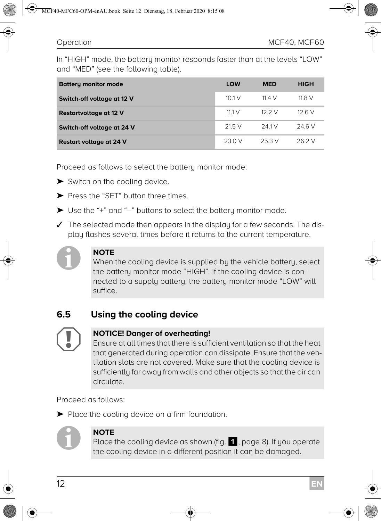In "HIGH" mode, the battery monitor responds faster than at the levels "LOW" and "MED" (see the following table).

| <b>Battery monitor mode</b>    | LOW         | <b>MED</b> | <b>HIGH</b> |
|--------------------------------|-------------|------------|-------------|
| Switch-off voltage at 12 V     | 101V        | 11.4 V     | 11.8V       |
| Restartvoltage at 12 V         | 11.1 $\vee$ | 12.2 V     | 12.6 V      |
| Switch-off voltage at 24 V     | 21.5V       | 241V       | 24.6 V      |
| <b>Restart voltage at 24 V</b> | 23.0 V      | 253 V      | 26 2 V      |

Proceed as follows to select the battery monitor mode:

- ▶ Switch on the cooling device.
- ➤ Press the "SET" button three times.
- ➤ Use the "+" and "–" buttons to select the battery monitor mode.
- $\checkmark$  The selected mode then appears in the display for a few seconds. The display flashes several times before it returns to the current temperature.



#### **NOTE**

When the cooling device is supplied by the vehicle battery, select the battery monitor mode "HIGH". If the cooling device is connected to a supply battery, the battery monitor mode "LOW" will suffice.

#### **6.5 Using the cooling device**



#### **NOTICE! Danger of overheating!**

Ensure at all times that there is sufficient ventilation so that the heat that generated during operation can dissipate. Ensure that the ventilation slots are not covered. Make sure that the cooling device is sufficiently far away from walls and other objects so that the air can circulate.

Proceed as follows:

➤ Place the cooling device on a firm foundation.



#### **NOTE**

Place the cooling device as shown (fig.  $\blacksquare$ , page 8). If you operate the cooling device in a different position it can be damaged.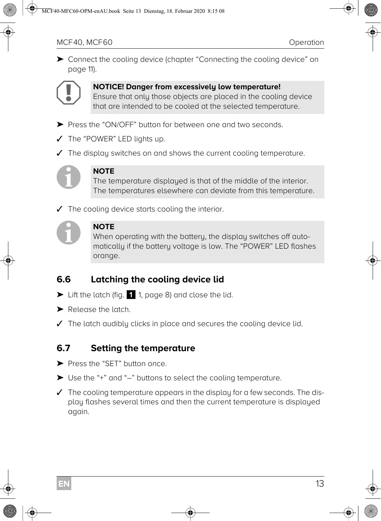➤ Connect the cooling device (chapter "Connecting the cooling device" on page 11).



#### **NOTICE! Danger from excessively low temperature!**

Ensure that only those objects are placed in the cooling device that are intended to be cooled at the selected temperature.

- ➤ Press the "ON/OFF" button for between one and two seconds.
- ✓ The "POWER" LED lights up.
- $\checkmark$  The display switches on and shows the current cooling temperature.



#### **NOTE**

The temperature displayed is that of the middle of the interior. The temperatures elsewhere can deviate from this temperature.

The cooling device starts cooling the interior.



#### **NOTE**

When operating with the battery, the display switches off automatically if the battery voltage is low. The "POWER" LED flashes orange.

## **6.6 Latching the cooling device lid**

- ► Lift the latch (fig. 1 1, page 8) and close the lid.
- ➤ Release the latch.
- ✓ The latch audibly clicks in place and secures the cooling device lid.

#### **6.7 Setting the temperature**

- ➤ Press the "SET" button once.
- ➤ Use the "+" and "–" buttons to select the cooling temperature.
- $\checkmark$  The cooling temperature appears in the display for a few seconds. The display flashes several times and then the current temperature is displayed again.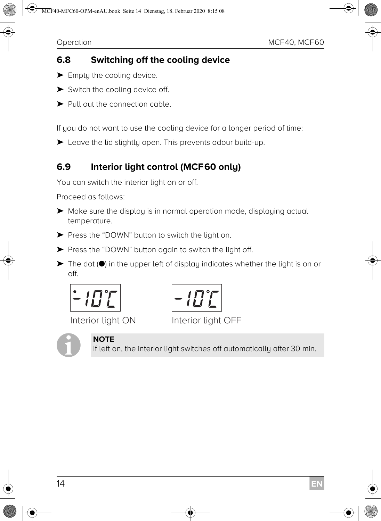## **6.8 Switching off the cooling device**

- $\blacktriangleright$  Emptu the cooling device.
- ➤ Switch the cooling device off.
- ➤ Pull out the connection cable.

If you do not want to use the cooling device for a longer period of time:

➤ Leave the lid slightly open. This prevents odour build-up.

## **6.9 Interior light control (MCF60 only)**

You can switch the interior light on or off.

Proceed as follows:

- ➤ Make sure the display is in normal operation mode, displaying actual temperature.
- ➤ Press the "DOWN" button to switch the light on.
- ➤ Press the "DOWN" button again to switch the light off.
- $\blacktriangleright$  The dot ( $\blacklozenge$ ) in the upper left of display indicates whether the light is on or off.



Interior light ON Interior light OFF





If left on, the interior light switches off automatically after 30 min.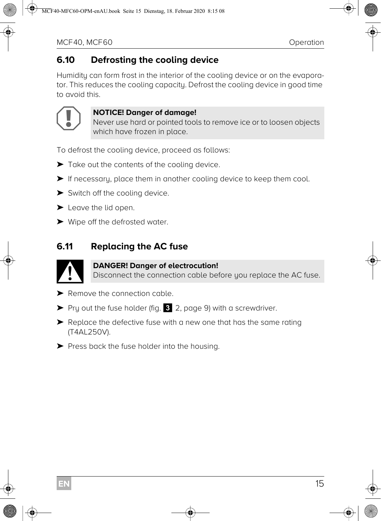#### **6.10 Defrosting the cooling device**

Humidity can form frost in the interior of the cooling device or on the evaporator. This reduces the cooling capacity. Defrost the cooling device in good time to avoid this.



#### **NOTICE! Danger of damage!**

Never use hard or pointed tools to remove ice or to loosen objects which have frozen in place.

To defrost the cooling device, proceed as follows:

- ➤ Take out the contents of the cooling device.
- ➤ If necessary, place them in another cooling device to keep them cool.
- ➤ Switch off the cooling device.
- ➤ Leave the lid open.
- ➤ Wipe off the defrosted water.

#### **6.11 Replacing the AC fuse**



#### **DANGER! Danger of electrocution!**

Disconnect the connection cable before you replace the AC fuse.

- ➤ Remove the connection cable.
- ➤ Pry out the fuse holder (fig. 3 2, page 9) with a screwdriver.
- ➤ Replace the defective fuse with a new one that has the same rating (T4AL250V).
- ➤ Press back the fuse holder into the housing.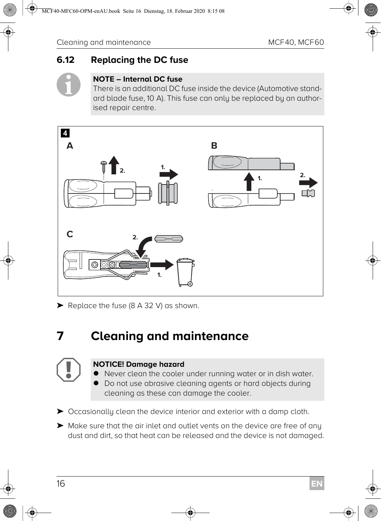## **6.12 Replacing the DC fuse**



#### **NOTE – Internal DC fuse**

There is an additional DC fuse inside the device (Automotive standard blade fuse, 10 A). This fuse can only be replaced by an authorised repair centre.



➤ Replace the fuse (8 A 32 V) as shown.

# **7 Cleaning and maintenance**

#### **NOTICE! Damage hazard**

- Never clean the cooler under running water or in dish water.
- Do not use abrasive cleaning agents or hard objects during cleaning as these can damage the cooler.

➤ Occasionally clean the device interior and exterior with a damp cloth.

➤ Make sure that the air inlet and outlet vents on the device are free of any dust and dirt, so that heat can be released and the device is not damaged.

 $\bigodot$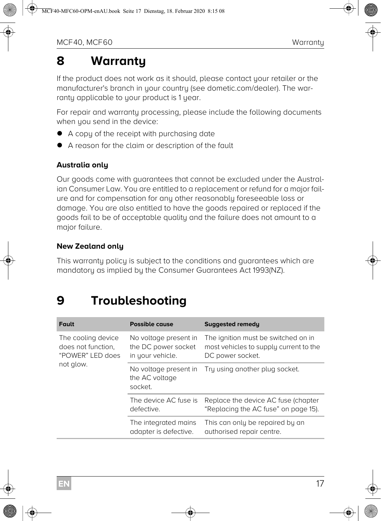# **8 Warranty**

If the product does not work as it should, please contact your retailer or the manufacturer's branch in your country (see dometic.com/dealer). The warranty applicable to your product is 1 year.

For repair and warranty processing, please include the following documents when you send in the device:

- A copy of the receipt with purchasing date
- A reason for the claim or description of the fault

#### **Australia only**

Our goods come with guarantees that cannot be excluded under the Australian Consumer Law. You are entitled to a replacement or refund for a major failure and for compensation for any other reasonably foreseeable loss or damage. You are also entitled to have the goods repaired or replaced if the goods fail to be of acceptable quality and the failure does not amount to a major failure.

#### **New Zealand only**

This warranty policy is subject to the conditions and guarantees which are mandatory as implied by the Consumer Guarantees Act 1993(NZ).

# **9 Troubleshooting**

| <b>Fault</b>                                                 | <b>Possible cause</b>                                            | <b>Suggested remedy</b>                                                                           |
|--------------------------------------------------------------|------------------------------------------------------------------|---------------------------------------------------------------------------------------------------|
| The cooling device<br>does not function.<br>"POWER" LED does | No voltage present in<br>the DC power socket<br>in your vehicle. | The ignition must be switched on in<br>most vehicles to supply current to the<br>DC power socket. |
| not glow.                                                    | No voltage present in<br>the AC voltage<br>socket.               | Try using another plug socket.                                                                    |
|                                                              | The device AC fuse is<br>defective.                              | Replace the device AC fuse (chapter<br>"Replacing the AC fuse" on page 15).                       |
|                                                              | The integrated mains<br>adapter is defective.                    | This can only be repaired by an<br>authorised repair centre.                                      |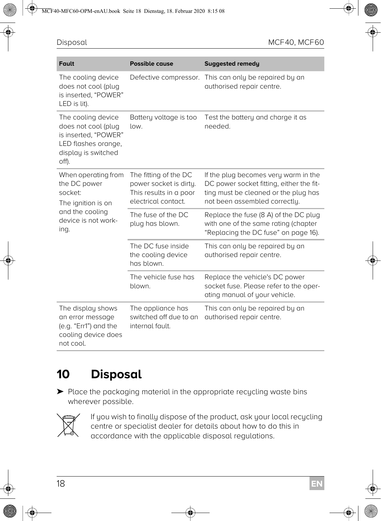| <b>Fault</b>                                                                                                             | <b>Possible cause</b>                                                                            | <b>Suggested remedy</b>                                                                                                                                   |
|--------------------------------------------------------------------------------------------------------------------------|--------------------------------------------------------------------------------------------------|-----------------------------------------------------------------------------------------------------------------------------------------------------------|
| The cooling device<br>does not cool (plug<br>is inserted. "POWER"<br>LED is lit).                                        | Defective compressor.                                                                            | This can only be repaired by an<br>authorised repair centre.                                                                                              |
| The cooling device<br>does not cool (plug<br>is inserted, "POWER"<br>LED flashes orange,<br>display is switched<br>off). | Battery voltage is too<br>low.                                                                   | Test the battery and charge it as<br>needed.                                                                                                              |
| When operating from<br>the DC power<br>socket:<br>The ignition is on                                                     | The fitting of the DC<br>power socket is dirty.<br>This results in a poor<br>electrical contact. | If the plug becomes very warm in the<br>DC power socket fitting, either the fit-<br>ting must be cleaned or the plug has<br>not been assembled correctly. |
| and the cooling<br>device is not work-<br>ing.                                                                           | The fuse of the DC<br>plug has blown.                                                            | Replace the fuse (8 A) of the DC plug<br>with one of the same rating (chapter<br>"Replacing the DC fuse" on page 16).                                     |
|                                                                                                                          | The DC fuse inside<br>the cooling device<br>has blown.                                           | This can only be repaired by an<br>authorised repair centre.                                                                                              |
|                                                                                                                          | The vehicle fuse has<br>blown.                                                                   | Replace the vehicle's DC power<br>socket fuse. Please refer to the oper-<br>ating manual of your vehicle.                                                 |
| The display shows<br>an error message<br>(e.g. "Err1") and the<br>cooling device does<br>not cool.                       | The appliance has<br>switched off due to an<br>internal fault.                                   | This can only be repaired by an<br>authorised repair centre.                                                                                              |

# **10 Disposal**

➤ Place the packaging material in the appropriate recycling waste bins wherever possible.



If you wish to finally dispose of the product, ask your local recycling<br>centre or specialist dealer for details about how to do this in<br>accordance with the applicable disposal regulations. centre or specialist dealer for details about how to do this in accordance with the applicable disposal regulations.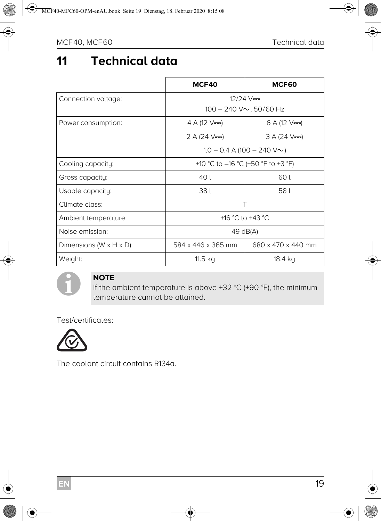# **11 Technical data**

|                                       | MCF40                                 | MCF60              |  |
|---------------------------------------|---------------------------------------|--------------------|--|
| Connection voltage:                   | $12/24$ V=                            |                    |  |
|                                       | $100 - 240$ V $\sim$ , 50/60 Hz       |                    |  |
| Power consumption:                    | 4 A (12 $V =$ )                       | 6 A (12 $V =$ )    |  |
|                                       | 2 A (24 $V =$ )                       | $3 A (24 V = )$    |  |
|                                       | $1.0 - 0.4$ A (100 $- 240$ V $\sim$ ) |                    |  |
| Cooling capacity:                     | +10 °C to -16 °C (+50 °F to +3 °F)    |                    |  |
| Gross capacity:                       | 40 L<br>60 L                          |                    |  |
| Usable capacity:                      | 38 L                                  | 58 L               |  |
| Climate class:                        | T                                     |                    |  |
| Ambient temperature:                  | +16 °C to +43 °C                      |                    |  |
| Noise emission:                       | 49 dB(A)                              |                    |  |
| Dimensions ( $W \times H \times D$ ): | 584 x 446 x 365 mm                    | 680 x 470 x 440 mm |  |
| Weight:                               | 11.5 kg                               | 18.4 kg            |  |



#### **NOTE**

If the ambient temperature is above +32 °C (+90 °F), the minimum temperature cannot be attained.

Test/certificates:



The coolant circuit contains R134a.